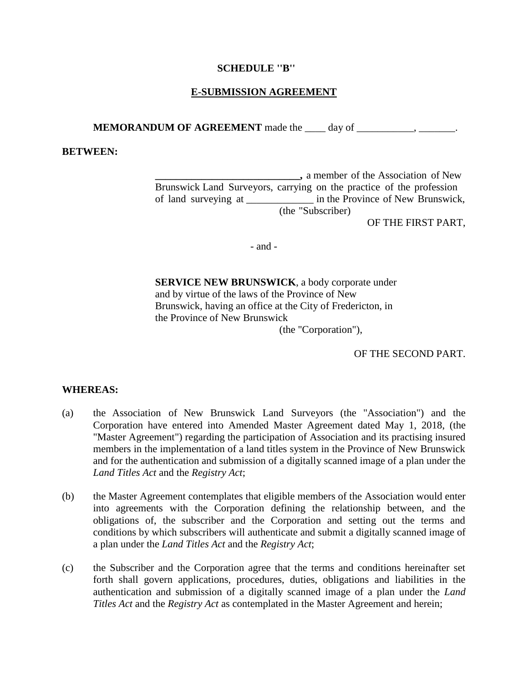#### **SCHEDULE ''B''**

## **E-SUBMISSION AGREEMENT**

**MEMORANDUM OF AGREEMENT** made the \_\_\_\_ day of \_\_\_\_\_\_\_\_\_\_\_\_\_,

#### **BETWEEN:**

**\_\_\_\_\_\_\_\_\_\_\_\_\_\_\_\_\_\_\_\_\_\_\_\_\_\_\_\_,** a member of the Association of New Brunswick Land Surveyors, carrying on the practice of the profession of land surveying at  $\qquad$  in the Province of New Brunswick, (the "Subscriber)

OF THE FIRST PART,

- and -

**SERVICE NEW BRUNSWICK**, a body corporate under and by virtue of the laws of the Province of New Brunswick, having an office at the City of Fredericton, in the Province of New Brunswick

(the "Corporation"),

OF THE SECOND PART.

#### **WHEREAS:**

- (a) the Association of New Brunswick Land Surveyors (the "Association") and the Corporation have entered into Amended Master Agreement dated May 1, 2018, (the "Master Agreement") regarding the participation of Association and its practising insured members in the implementation of a land titles system in the Province of New Brunswick and for the authentication and submission of a digitally scanned image of a plan under the *Land Titles Act* and the *Registry Act*;
- (b) the Master Agreement contemplates that eligible members of the Association would enter into agreements with the Corporation defining the relationship between, and the obligations of, the subscriber and the Corporation and setting out the terms and conditions by which subscribers will authenticate and submit a digitally scanned image of a plan under the *Land Titles Act* and the *Registry Act*;
- (c) the Subscriber and the Corporation agree that the terms and conditions hereinafter set forth shall govern applications, procedures, duties, obligations and liabilities in the authentication and submission of a digitally scanned image of a plan under the *Land Titles Act* and the *Registry Act* as contemplated in the Master Agreement and herein;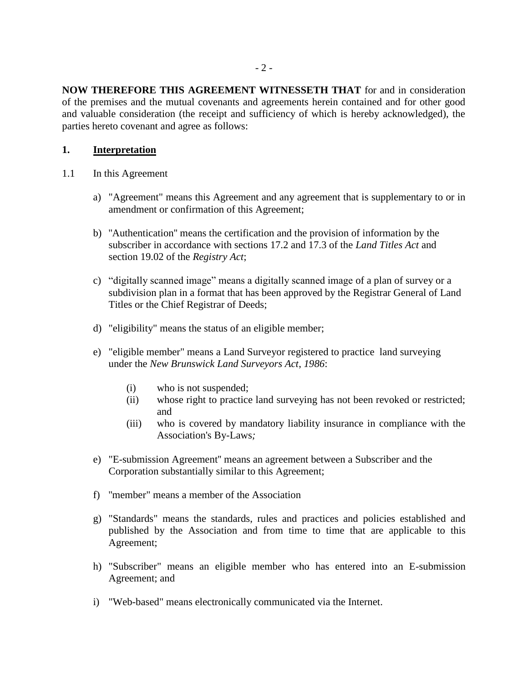**NOW THEREFORE THIS AGREEMENT WITNESSETH THAT** for and in consideration of the premises and the mutual covenants and agreements herein contained and for other good and valuable consideration (the receipt and sufficiency of which is hereby acknowledged), the parties hereto covenant and agree as follows:

## **1. Interpretation**

- 1.1 In this Agreement
	- a) "Agreement" means this Agreement and any agreement that is supplementary to or in amendment or confirmation of this Agreement;
	- b) ''Authentication'' means the certification and the provision of information by the subscriber in accordance with sections 17.2 and 17.3 of the *Land Titles Act* and section 19.02 of the *Registry Act*;
	- c) "digitally scanned image" means a digitally scanned image of a plan of survey or a subdivision plan in a format that has been approved by the Registrar General of Land Titles or the Chief Registrar of Deeds;
	- d) "eligibility" means the status of an eligible member;
	- e) "eligible member" means a Land Surveyor registered to practice land surveying under the *New Brunswick Land Surveyors Act*, *1986*:
		- (i) who is not suspended;
		- (ii) whose right to practice land surveying has not been revoked or restricted; and
		- (iii) who is covered by mandatory liability insurance in compliance with the Association's By-Laws*;*
	- e) "E-submission Agreement'' means an agreement between a Subscriber and the Corporation substantially similar to this Agreement;
	- f) ''member" means a member of the Association
	- g) "Standards" means the standards, rules and practices and policies established and published by the Association and from time to time that are applicable to this Agreement;
	- h) "Subscriber" means an eligible member who has entered into an E-submission Agreement; and
	- i) "Web-based" means electronically communicated via the Internet.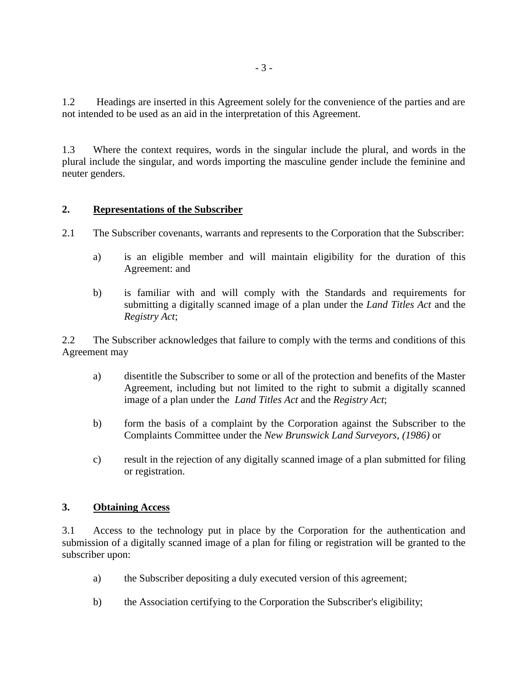1.2 Headings are inserted in this Agreement solely for the convenience of the parties and are not intended to be used as an aid in the interpretation of this Agreement.

1.3 Where the context requires, words in the singular include the plural, and words in the plural include the singular, and words importing the masculine gender include the feminine and neuter genders.

# **2. Representations of the Subscriber**

- 2.1 The Subscriber covenants, warrants and represents to the Corporation that the Subscriber:
	- a) is an eligible member and will maintain eligibility for the duration of this Agreement: and
	- b) is familiar with and will comply with the Standards and requirements for submitting a digitally scanned image of a plan under the *Land Titles Act* and the *Registry Act*;

2.2 The Subscriber acknowledges that failure to comply with the terms and conditions of this Agreement may

- a) disentitle the Subscriber to some or all of the protection and benefits of the Master Agreement, including but not limited to the right to submit a digitally scanned image of a plan under the *Land Titles Act* and the *Registry Act*;
- b) form the basis of a complaint by the Corporation against the Subscriber to the Complaints Committee under the *New Brunswick Land Surveyors*, *(1986)* or
- c) result in the rejection of any digitally scanned image of a plan submitted for filing or registration.

### **3. Obtaining Access**

3.1 Access to the technology put in place by the Corporation for the authentication and submission of a digitally scanned image of a plan for filing or registration will be granted to the subscriber upon:

- a) the Subscriber depositing a duly executed version of this agreement;
- b) the Association certifying to the Corporation the Subscriber's eligibility;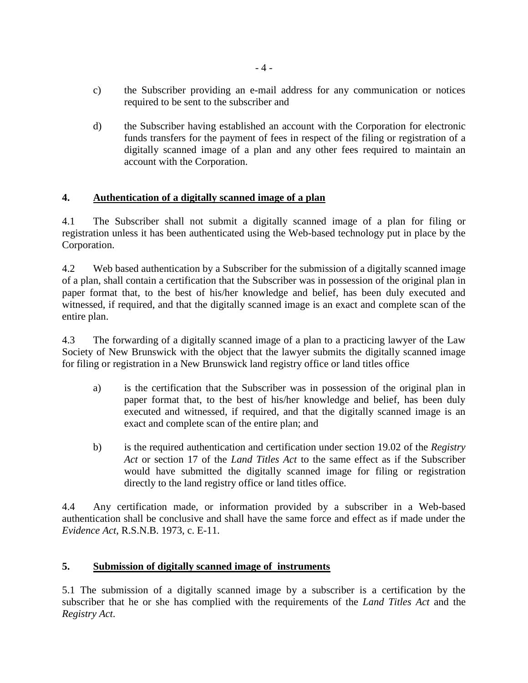- c) the Subscriber providing an e-mail address for any communication or notices required to be sent to the subscriber and
- d) the Subscriber having established an account with the Corporation for electronic funds transfers for the payment of fees in respect of the filing or registration of a digitally scanned image of a plan and any other fees required to maintain an account with the Corporation.

# **4. Authentication of a digitally scanned image of a plan**

4.1 The Subscriber shall not submit a digitally scanned image of a plan for filing or registration unless it has been authenticated using the Web-based technology put in place by the Corporation.

4.2 Web based authentication by a Subscriber for the submission of a digitally scanned image of a plan, shall contain a certification that the Subscriber was in possession of the original plan in paper format that, to the best of his/her knowledge and belief, has been duly executed and witnessed, if required, and that the digitally scanned image is an exact and complete scan of the entire plan.

4.3 The forwarding of a digitally scanned image of a plan to a practicing lawyer of the Law Society of New Brunswick with the object that the lawyer submits the digitally scanned image for filing or registration in a New Brunswick land registry office or land titles office

- a) is the certification that the Subscriber was in possession of the original plan in paper format that, to the best of his/her knowledge and belief, has been duly executed and witnessed, if required, and that the digitally scanned image is an exact and complete scan of the entire plan; and
- b) is the required authentication and certification under section 19.02 of the *Registry Act* or section 17 of the *Land Titles Act* to the same effect as if the Subscriber would have submitted the digitally scanned image for filing or registration directly to the land registry office or land titles office.

4.4 Any certification made, or information provided by a subscriber in a Web-based authentication shall be conclusive and shall have the same force and effect as if made under the *Evidence Act*, R.S.N.B. 1973, c. E-11.

# **5. Submission of digitally scanned image of instruments**

5.1 The submission of a digitally scanned image by a subscriber is a certification by the subscriber that he or she has complied with the requirements of the *Land Titles Act* and the *Registry Act*.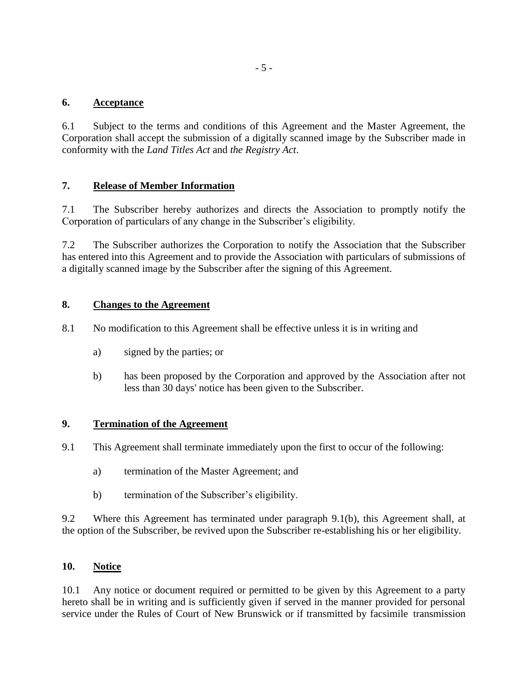## **6. Acceptance**

6.1 Subject to the terms and conditions of this Agreement and the Master Agreement, the Corporation shall accept the submission of a digitally scanned image by the Subscriber made in conformity with the *Land Titles Act* and *the Registry Act*.

## **7. Release of Member Information**

7.1 The Subscriber hereby authorizes and directs the Association to promptly notify the Corporation of particulars of any change in the Subscriber's eligibility.

7.2 The Subscriber authorizes the Corporation to notify the Association that the Subscriber has entered into this Agreement and to provide the Association with particulars of submissions of a digitally scanned image by the Subscriber after the signing of this Agreement.

## **8. Changes to the Agreement**

- 8.1 No modification to this Agreement shall be effective unless it is in writing and
	- a) signed by the parties; or
	- b) has been proposed by the Corporation and approved by the Association after not less than 30 days' notice has been given to the Subscriber.

### **9. Termination of the Agreement**

- 9.1 This Agreement shall terminate immediately upon the first to occur of the following:
	- a) termination of the Master Agreement; and
	- b) termination of the Subscriber's eligibility.

9.2 Where this Agreement has terminated under paragraph 9.1(b), this Agreement shall, at the option of the Subscriber, be revived upon the Subscriber re-establishing his or her eligibility.

## **10. Notice**

10.1 Any notice or document required or permitted to be given by this Agreement to a party hereto shall be in writing and is sufficiently given if served in the manner provided for personal service under the Rules of Court of New Brunswick or if transmitted by facsimile transmission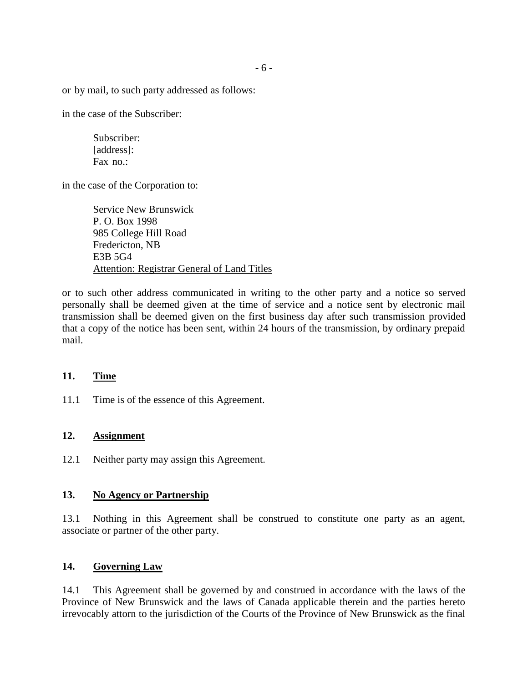or by mail, to such party addressed as follows:

in the case of the Subscriber:

Subscriber: [address]: Fax no.:

in the case of the Corporation to:

Service New Brunswick P. O. Box 1998 985 College Hill Road Fredericton, NB E3B 5G4 Attention: Registrar General of Land Titles

or to such other address communicated in writing to the other party and a notice so served personally shall be deemed given at the time of service and a notice sent by electronic mail transmission shall be deemed given on the first business day after such transmission provided that a copy of the notice has been sent, within 24 hours of the transmission, by ordinary prepaid mail.

#### **11. Time**

11.1 Time is of the essence of this Agreement.

#### **12. Assignment**

12.1 Neither party may assign this Agreement.

### **13. No Agency or Partnership**

13.1 Nothing in this Agreement shall be construed to constitute one party as an agent, associate or partner of the other party.

### **14. Governing Law**

14.1 This Agreement shall be governed by and construed in accordance with the laws of the Province of New Brunswick and the laws of Canada applicable therein and the parties hereto irrevocably attorn to the jurisdiction of the Courts of the Province of New Brunswick as the final